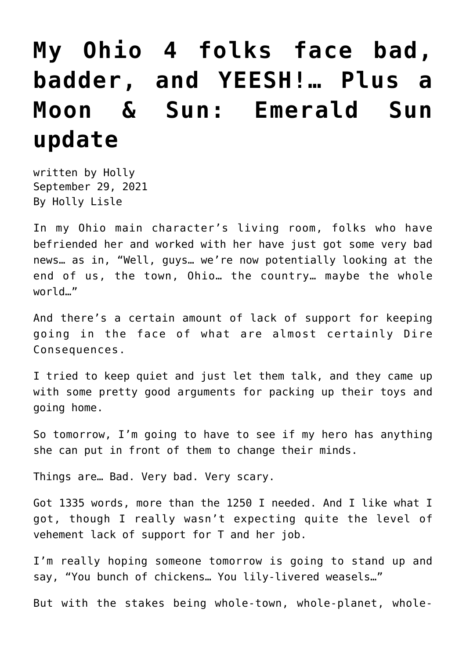## **[My Ohio 4 folks face bad,](https://hollylisle.com/my-ohio-4-folks-face-bad-badder-and-yeesh-plus-a-moon-sun-emerald-sun-update/) [badder, and YEESH!… Plus a](https://hollylisle.com/my-ohio-4-folks-face-bad-badder-and-yeesh-plus-a-moon-sun-emerald-sun-update/) [Moon & Sun: Emerald Sun](https://hollylisle.com/my-ohio-4-folks-face-bad-badder-and-yeesh-plus-a-moon-sun-emerald-sun-update/) [update](https://hollylisle.com/my-ohio-4-folks-face-bad-badder-and-yeesh-plus-a-moon-sun-emerald-sun-update/)**

written by Holly September 29, 2021 [By Holly Lisle](https://hollylisle.com)

In my Ohio main character's living room, folks who have befriended her and worked with her have just got some very bad news… as in, "Well, guys… we're now potentially looking at the end of us, the town, Ohio… the country… maybe the whole world…"

And there's a certain amount of lack of support for keeping going in the face of what are almost certainly Dire Consequences.

I tried to keep quiet and just let them talk, and they came up with some pretty good arguments for packing up their toys and going home.

So tomorrow, I'm going to have to see if my hero has anything she can put in front of them to change their minds.

Things are… Bad. Very bad. Very scary.

Got 1335 words, more than the 1250 I needed. And I like what I got, though I really wasn't expecting quite the level of vehement lack of support for T and her job.

I'm really hoping someone tomorrow is going to stand up and say, "You bunch of chickens… You lily-livered weasels…"

But with the stakes being whole-town, whole-planet, whole-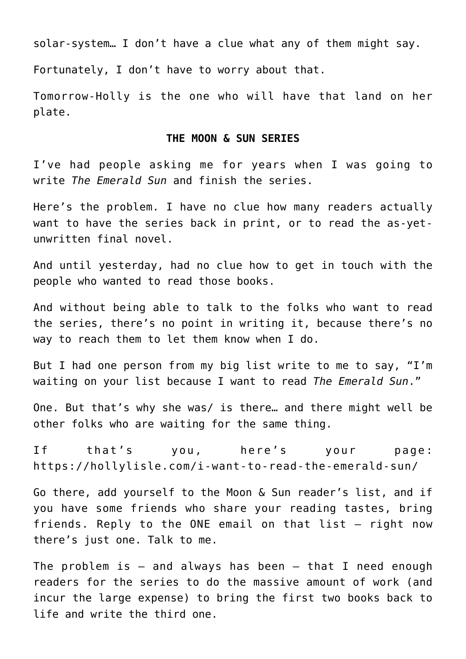solar-system… I don't have a clue what any of them might say.

Fortunately, I don't have to worry about that.

Tomorrow-Holly is the one who will have that land on her plate.

## **THE MOON & SUN SERIES**

I've had people asking me for years when I was going to write *The Emerald Sun* and finish the series.

Here's the problem. I have no clue how many readers actually want to have the series back in print, or to read the as-yetunwritten final novel.

And until yesterday, had no clue how to get in touch with the people who wanted to read those books.

And without being able to talk to the folks who want to read the series, there's no point in writing it, because there's no way to reach them to let them know when I do.

But I had one person from my big list write to me to say, "I'm waiting on your list because I want to read *The Emerald Sun*."

One. But that's why she was/ is there… and there might well be other folks who are waiting for the same thing.

If that's you, here's your page: <https://hollylisle.com/i-want-to-read-the-emerald-sun/>

Go there, add yourself to the Moon & Sun reader's list, and if you have some friends who share your reading tastes, bring friends. Reply to the ONE email on that list — right now there's just one. Talk to me.

The problem is  $-$  and always has been  $-$  that I need enough readers for the series to do the massive amount of work (and incur the large expense) to bring the first two books back to life and write the third one.